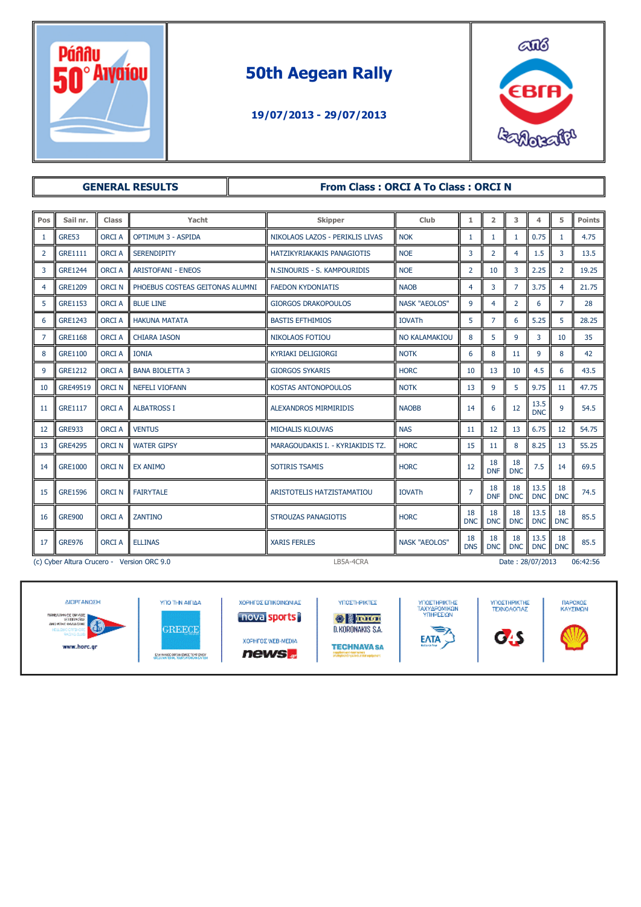

# 50th Aegean Rally

#### 19/07/2013 - 29/07/2013



| <b>GENERAL RESULTS</b> |                                                                                         |              |                                 |  | <b>From Class: ORCI A To Class: ORCI N</b> |                      |                  |                  |                  |                    |                  |        |
|------------------------|-----------------------------------------------------------------------------------------|--------------|---------------------------------|--|--------------------------------------------|----------------------|------------------|------------------|------------------|--------------------|------------------|--------|
|                        |                                                                                         |              |                                 |  |                                            |                      |                  |                  |                  |                    |                  |        |
| Pos                    | Sail nr.                                                                                | Class        | Yacht                           |  | <b>Skipper</b>                             | Club                 | $\mathbf 1$      | $\overline{2}$   | 3                | 4                  | 5                | Points |
| 1                      | GRE53                                                                                   | <b>ORCIA</b> | <b>OPTIMUM 3 - ASPIDA</b>       |  | NIKOLAOS LAZOS - PERIKLIS LIVAS            | <b>NOK</b>           | $\mathbf{1}$     | $\mathbf{1}$     | $\mathbf{1}$     | 0.75               | $\mathbf{1}$     | 4.75   |
| $\overline{2}$         | <b>GRE1111</b>                                                                          | <b>ORCIA</b> | <b>SERENDIPITY</b>              |  | HATZIKYRIAKAKIS PANAGIOTIS                 | <b>NOE</b>           | 3                | 2                | 4                | 1.5                | 3                | 13.5   |
| 3                      | <b>GRE1244</b>                                                                          | <b>ORCIA</b> | <b>ARISTOFANI - ENEOS</b>       |  | N.SINOURIS - S. KAMPOURIDIS                | <b>NOE</b>           | $\overline{2}$   | 10               | 3                | 2.25               | $\overline{2}$   | 19.25  |
| 4                      | <b>GRE1209</b>                                                                          | <b>ORCIN</b> | PHOEBUS COSTEAS GEITONAS ALUMNI |  | <b>FAEDON KYDONIATIS</b>                   | <b>NAOB</b>          | $\overline{4}$   | 3                | $\overline{7}$   | 3.75               | 4                | 21.75  |
| 5                      | <b>GRE1153</b>                                                                          | <b>ORCIA</b> | <b>BLUE LINE</b>                |  | <b>GIORGOS DRAKOPOULOS</b>                 | <b>NASK "AEOLOS"</b> | 9                | $\overline{4}$   | $\overline{2}$   | 6                  | $\overline{7}$   | 28     |
| 6                      | <b>GRE1243</b>                                                                          | <b>ORCIA</b> | <b>HAKUNA MATATA</b>            |  | <b>BASTIS EFTHIMIOS</b>                    | <b>IOVATh</b>        | 5                | $\overline{7}$   | 6                | 5.25               | 5                | 28.25  |
| 7                      | <b>GRE1168</b>                                                                          | <b>ORCIA</b> | <b>CHIARA IASON</b>             |  | <b>NIKOLAOS FOTIOU</b>                     | <b>NO KALAMAKIOU</b> | 8                | 5                | 9                | 3                  | 10               | 35     |
| 8                      | GRE1100                                                                                 | <b>ORCIA</b> | <b>IONIA</b>                    |  | <b>KYRIAKI DELIGIORGI</b>                  | <b>NOTK</b>          | 6                | 8                | 11               | 9                  | 8                | 42     |
| 9                      | <b>GRE1212</b>                                                                          | <b>ORCIA</b> | <b>BANA BIOLETTA 3</b>          |  | <b>GIORGOS SYKARIS</b>                     | <b>HORC</b>          | 10               | 13               | 10               | 4.5                | 6                | 43.5   |
| 10                     | GRE49519                                                                                | <b>ORCIN</b> | <b>NEFELI VIOFANN</b>           |  | KOSTAS ANTONOPOULOS                        | <b>NOTK</b>          | 13               | 9                | 5                | 9.75               | 11               | 47.75  |
| 11                     | <b>GRE1117</b>                                                                          | <b>ORCIA</b> | <b>ALBATROSS I</b>              |  | <b>ALEXANDROS MIRMIRIDIS</b>               | <b>NAOBB</b>         | 14               | 6                | 12               | 13.5<br><b>DNC</b> | 9                | 54.5   |
| 12                     | <b>GRE933</b>                                                                           | <b>ORCIA</b> | <b>VENTUS</b>                   |  | <b>MICHALIS KLOUVAS</b>                    | <b>NAS</b>           | 11               | 12               | 13               | 6.75               | 12               | 54.75  |
| 13                     | <b>GRE4295</b>                                                                          | <b>ORCIN</b> | <b>WATER GIPSY</b>              |  | MARAGOUDAKIS I. - KYRIAKIDIS TZ.           | <b>HORC</b>          | 15               | 11               | 8                | 8.25               | 13               | 55.25  |
| 14                     | <b>GRE1000</b>                                                                          | <b>ORCIN</b> | <b>EX ANIMO</b>                 |  | <b>SOTIRIS TSAMIS</b>                      | <b>HORC</b>          | 12               | 18<br><b>DNF</b> | 18<br><b>DNC</b> | 7.5                | 14               | 69.5   |
| 15                     | <b>GRE1596</b>                                                                          | <b>ORCIN</b> | <b>FAIRYTALE</b>                |  | <b>ARISTOTELIS HATZISTAMATIOU</b>          | <b>IOVATh</b>        | $\overline{7}$   | 18<br><b>DNF</b> | 18<br><b>DNC</b> | 13.5<br><b>DNC</b> | 18<br><b>DNC</b> | 74.5   |
| 16                     | <b>GRE900</b>                                                                           | <b>ORCIA</b> | <b>ZANTINO</b>                  |  | <b>STROUZAS PANAGIOTIS</b>                 | <b>HORC</b>          | 18<br><b>DNC</b> | 18<br><b>DNC</b> | 18<br><b>DNC</b> | 13.5<br><b>DNC</b> | 18<br><b>DNC</b> | 85.5   |
| 17                     | <b>GRE976</b>                                                                           | <b>ORCIA</b> | <b>ELLINAS</b>                  |  | <b>XARIS FERLES</b>                        | <b>NASK "AEOLOS"</b> | 18<br><b>DNS</b> | 18<br><b>DNC</b> | 18<br><b>DNC</b> | 13.5<br><b>DNC</b> | 18<br><b>DNC</b> | 85.5   |
|                        | LB5A-4CRA<br>06:42:56<br>(c) Cyber Altura Crucero - Version ORC 9.0<br>Date: 28/07/2013 |              |                                 |  |                                            |                      |                  |                  |                  |                    |                  |        |

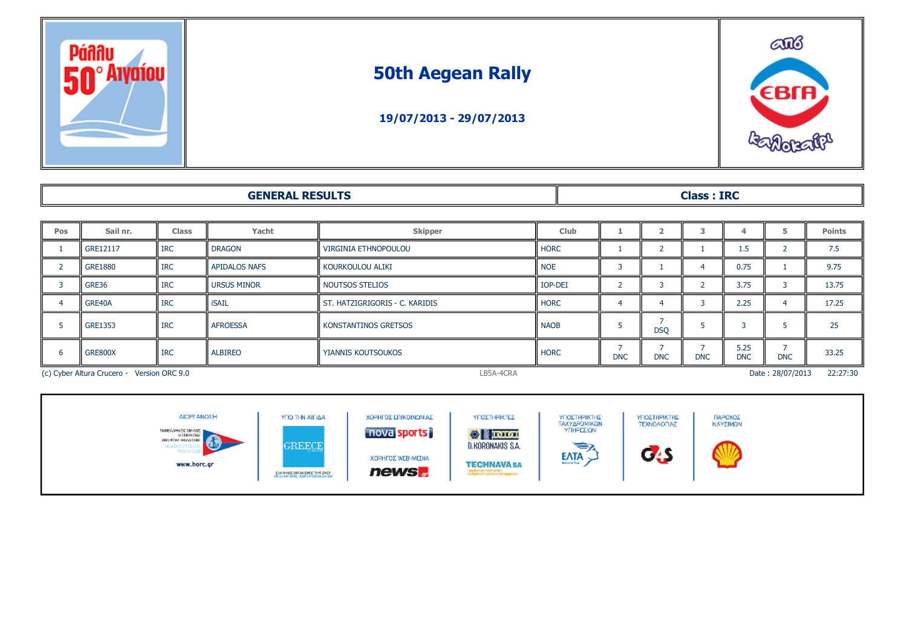

## 50th Aegean Rally





#### GENERAL RESULTS Class : IRC

| Pos                                        | Sail nr.       | <b>Class</b> | Yacht                | <b>Skipper</b>                 | <b>Club</b> |            |            |            |                    |                  | <b>Points</b> |
|--------------------------------------------|----------------|--------------|----------------------|--------------------------------|-------------|------------|------------|------------|--------------------|------------------|---------------|
|                                            | GRE12117       | <b>IRC</b>   | <b>DRAGON</b>        | VIRGINIA ETHNOPOULOU           | <b>HORC</b> |            |            |            | 1.5                |                  | 7.5           |
|                                            | <b>GRE1880</b> | <b>IRC</b>   | <b>APIDALOS NAFS</b> | i kourkoulou aliki             | <b>NOE</b>  |            |            |            | 0.75               |                  | 9.75          |
|                                            | GRE36          | <b>IRC</b>   | <b>URSUS MINOR</b>   | NOUTSOS STELIOS                | IOP-DEI     |            |            |            | 3.75               |                  | 13.75         |
|                                            | GRE40A         | <b>IRC</b>   | <b>iSAIL</b>         | ST. HATZIGRIGORIS - C. KARIDIS | <b>HORC</b> |            |            |            | 2.25               |                  | 17.25         |
|                                            | <b>GRE1353</b> | <b>IRC</b>   | <b>AFROESSA</b>      | KONSTANTINOS GRETSOS           | <b>NAOB</b> |            | <b>DSQ</b> |            |                    |                  | 25            |
|                                            | GRE800X        | <b>IRC</b>   | <b>ALBIREO</b>       | YIANNIS KOUTSOUKOS             | <b>HORC</b> | <b>DNC</b> | <b>DNC</b> | <b>DNC</b> | 5.25<br><b>DNC</b> | <b>DNC</b>       | 33.25         |
| (c) Cyber Altura Crucero - Version ORC 9.0 |                |              |                      |                                |             |            |            |            |                    | Date: 28/07/2013 | 22:27:30      |

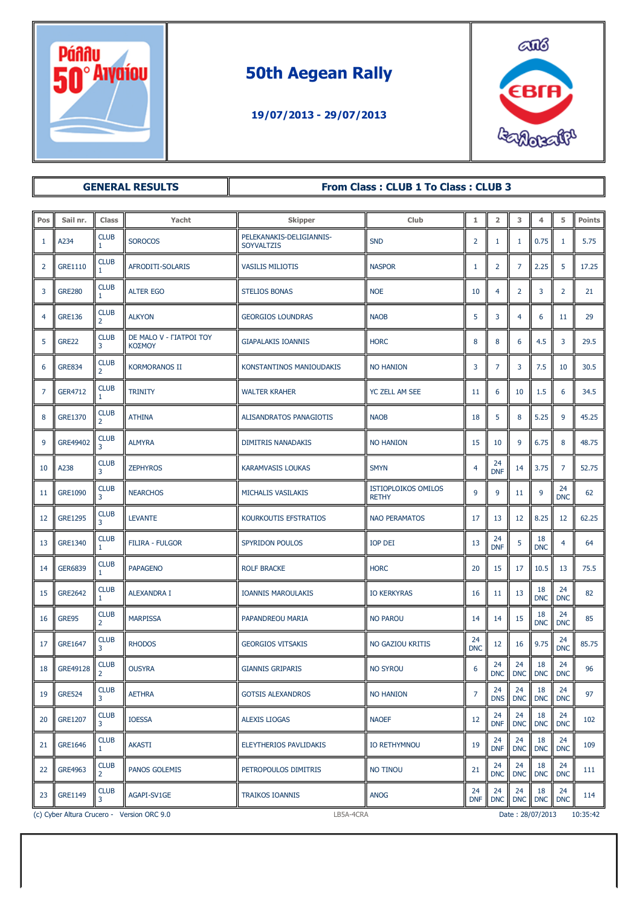

# 50th Aegean Rally

### 19/07/2013 - 29/07/2013



| <b>GENERAL RESULTS</b> |                                                                                         |                               |                                   | From Class: CLUB 1 To Class: CLUB 3           |                                            |                  |                  |                  |                  |                  |               |
|------------------------|-----------------------------------------------------------------------------------------|-------------------------------|-----------------------------------|-----------------------------------------------|--------------------------------------------|------------------|------------------|------------------|------------------|------------------|---------------|
|                        |                                                                                         |                               |                                   |                                               |                                            |                  |                  |                  |                  |                  |               |
| Pos                    | Sail nr.                                                                                | Class                         | Yacht                             | <b>Skipper</b>                                | Club                                       | 1                | $\overline{2}$   | 3                | $\overline{4}$   | 5                | <b>Points</b> |
| 1                      | A234                                                                                    | <b>CLUB</b><br>1.             | <b>SOROCOS</b>                    | PELEKANAKIS-DELIGIANNIS-<br><b>SOYVALTZIS</b> | <b>SND</b>                                 | $\overline{2}$   | 1                | 1                | 0.75             | 1                | 5.75          |
| 2                      | GRE1110                                                                                 | <b>CLUB</b>                   | AFRODITI-SOLARIS                  | <b>VASILIS MILIOTIS</b>                       | <b>NASPOR</b>                              | 1                | $\overline{2}$   | $\overline{7}$   | 2.25             | 5                | 17.25         |
| 3                      | <b>GRE280</b>                                                                           | <b>CLUB</b><br>$\mathbf{1}$   | <b>ALTER EGO</b>                  | <b>STELIOS BONAS</b>                          | <b>NOE</b>                                 | 10               | 4                | $\overline{2}$   | 3                | $\overline{2}$   | 21            |
| $\overline{4}$         | <b>GRE136</b>                                                                           | <b>CLUB</b><br>$\overline{2}$ | <b>ALKYON</b>                     | <b>GEORGIOS LOUNDRAS</b>                      | <b>NAOB</b>                                | 5                | 3                | $\overline{4}$   | 6                | 11               | 29            |
| 5                      | GRE22                                                                                   | <b>CLUB</b><br>3              | DE MALO V - FIATPOI TOY<br>ΚΟΣΜΟΥ | <b>GIAPALAKIS IOANNIS</b>                     | <b>HORC</b>                                | 8                | 8                | 6                | 4.5              | 3                | 29.5          |
| 6                      | <b>GRE834</b>                                                                           | <b>CLUB</b><br>2              | <b>KORMORANOS II</b>              | KONSTANTINOS MANIOUDAKIS                      | <b>NO HANION</b>                           | 3                | 7                | 3                | 7.5              | 10               | 30.5          |
| $\overline{7}$         | <b>GER4712</b>                                                                          | <b>CLUB</b><br>1              | <b>TRINITY</b>                    | <b>WALTER KRAHER</b>                          | YC ZELL AM SEE                             | 11               | 6                | 10               | 1.5              | 6                | 34.5          |
| 8                      | GRE1370                                                                                 | <b>CLUB</b><br>2              | <b>ATHINA</b>                     | ALISANDRATOS PANAGIOTIS                       | <b>NAOB</b>                                | 18               | 5                | 8                | 5.25             | 9                | 45.25         |
| 9                      | GRE49402                                                                                | <b>CLUB</b><br>3              | <b>ALMYRA</b>                     | <b>DIMITRIS NANADAKIS</b>                     | <b>NO HANION</b>                           | 15               | 10               | 9                | 6.75             | 8                | 48.75         |
| 10                     | A238                                                                                    | <b>CLUB</b><br>3              | <b>ZEPHYROS</b>                   | <b>KARAMVASIS LOUKAS</b>                      | <b>SMYN</b>                                | 4                | 24<br><b>DNF</b> | 14               | 3.75             | 7                | 52.75         |
| 11                     | <b>GRE1090</b>                                                                          | <b>CLUB</b><br>3              | <b>NEARCHOS</b>                   | MICHALIS VASILAKIS                            | <b>ISTIOPLOIKOS OMILOS</b><br><b>RETHY</b> | 9                | 9                | 11               | 9                | 24<br><b>DNC</b> | 62            |
| 12                     | <b>GRE1295</b>                                                                          | <b>CLUB</b><br>3              | <b>LEVANTE</b>                    | KOURKOUTIS EFSTRATIOS                         | <b>NAO PERAMATOS</b>                       | 17               | 13               | 12               | 8.25             | 12               | 62.25         |
| 13                     | GRE1340                                                                                 | <b>CLUB</b><br>$\mathbf{1}$   | <b>FILIRA - FULGOR</b>            | SPYRIDON POULOS                               | <b>IOP DEI</b>                             | 13               | 24<br><b>DNF</b> | 5                | 18<br><b>DNC</b> | $\overline{4}$   | 64            |
| 14                     | <b>GER6839</b>                                                                          | <b>CLUB</b><br>$\mathbf{1}$   | <b>PAPAGENO</b>                   | <b>ROLF BRACKE</b>                            | <b>HORC</b>                                | 20               | 15               | 17               | 10.5             | 13               | 75.5          |
| 15                     | <b>GRE2642</b>                                                                          | <b>CLUB</b><br>1              | <b>ALEXANDRA I</b>                | <b>IOANNIS MAROULAKIS</b>                     | <b>IO KERKYRAS</b>                         | 16               | 11               | 13               | 18<br><b>DNC</b> | 24<br><b>DNC</b> | 82            |
| 16                     | GRE95                                                                                   | <b>CLUB</b><br>2              | <b>MARPISSA</b>                   | PAPANDREOU MARIA                              | <b>NO PAROU</b>                            | 14               | 14               | 15               | 18<br><b>DNC</b> | 24<br><b>DNC</b> | 85            |
| 17                     | <b>GRE1647</b>                                                                          | <b>CLUB</b><br>3              | <b>RHODOS</b>                     | <b>GEORGIOS VITSAKIS</b>                      | <b>NO GAZIOU KRITIS</b>                    | 24<br><b>DNC</b> | 12               | 16               | 9.75             | 24<br><b>DNC</b> | 85.75         |
| 18                     | GRE49128                                                                                | <b>CLUB</b><br>2              | <b>OUSYRA</b>                     | <b>GIANNIS GRIPARIS</b>                       | <b>NO SYROU</b>                            | 6                | 24<br><b>DNC</b> | 24<br><b>DNC</b> | 18<br><b>DNC</b> | 24<br><b>DNC</b> | 96            |
| 19                     | <b>GRE524</b>                                                                           | <b>CLUB</b><br>3              | <b>AETHRA</b>                     | <b>GOTSIS ALEXANDROS</b>                      | <b>NO HANION</b>                           | $\overline{7}$   | 24<br><b>DNS</b> | 24<br><b>DNC</b> | 18<br><b>DNC</b> | 24<br><b>DNC</b> | 97            |
| 20                     | <b>GRE1207</b>                                                                          | <b>CLUB</b><br>3              | <b>IOESSA</b>                     | <b>ALEXIS LIOGAS</b>                          | <b>NAOEF</b>                               | 12               | 24<br><b>DNF</b> | 24<br><b>DNC</b> | 18<br><b>DNC</b> | 24<br><b>DNC</b> | 102           |
| 21                     | <b>GRE1646</b>                                                                          | <b>CLUB</b>                   | <b>AKASTI</b>                     | <b>ELEYTHERIOS PAVLIDAKIS</b>                 | <b>IO RETHYMNOU</b>                        | 19               | 24<br><b>DNF</b> | 24<br><b>DNC</b> | 18<br><b>DNC</b> | 24<br><b>DNC</b> | 109           |
| 22                     | <b>GRE4963</b>                                                                          | <b>CLUB</b><br>2              | <b>PANOS GOLEMIS</b>              | PETROPOULOS DIMITRIS                          | <b>NO TINOU</b>                            | 21               | 24<br><b>DNC</b> | 24<br><b>DNC</b> | 18<br><b>DNC</b> | 24<br><b>DNC</b> | 111           |
| 23                     | <b>GRE1149</b>                                                                          | <b>CLUB</b>                   | AGAPI-SV1GE                       | <b>TRAIKOS IOANNIS</b>                        | <b>ANOG</b>                                | 24<br><b>DNF</b> | 24<br><b>DNC</b> | 24<br><b>DNC</b> | 18<br><b>DNC</b> | 24<br><b>DNC</b> | 114           |
|                        | LB5A-4CRA<br>(c) Cyber Altura Crucero - Version ORC 9.0<br>Date: 28/07/2013<br>10:35:42 |                               |                                   |                                               |                                            |                  |                  |                  |                  |                  |               |